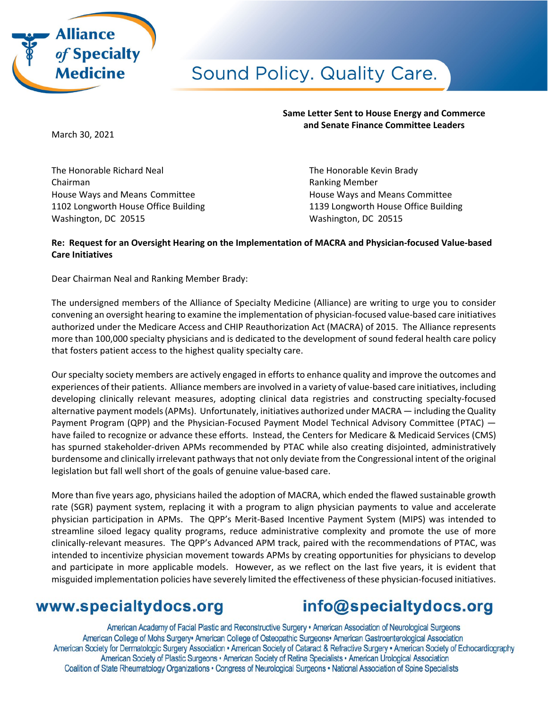

# Sound Policy. Quality Care.

March 30, 2021

The Honorable Richard Neal The Honorable Kevin Brady Chairman **Chairman** Chairman Chairman Chairman Chairman Chairman Chairman Chairman Chairman Chairman Chairman Chairman Chairman Chairman Chairman Chairman Chairman Chairman Chairman Chairman Chairman Chairman Chairman Chai House Ways and Means Committee **House Ways and Means Committee** 1102 Longworth House Office Building 1139 Longworth House Office Building Washington, DC 20515 Washington, DC 20515

**Same Letter Sent to House Energy and Commerce and Senate Finance Committee Leaders**

### **Re: Request for an Oversight Hearing on the Implementation of MACRA and Physician-focused Value-based Care Initiatives**

Dear Chairman Neal and Ranking Member Brady:

The undersigned members of the Alliance of Specialty Medicine (Alliance) are writing to urge you to consider convening an oversight hearing to examine the implementation of physician-focused value-based care initiatives authorized under the Medicare Access and CHIP Reauthorization Act (MACRA) of 2015. The Alliance represents more than 100,000 specialty physicians and is dedicated to the development of sound federal health care policy that fosters patient access to the highest quality specialty care.

Our specialty society members are actively engaged in efforts to enhance quality and improve the outcomes and experiences of their patients. Alliance members are involved in a variety of value-based care initiatives, including developing clinically relevant measures, adopting clinical data registries and constructing specialty-focused alternative payment models (APMs). Unfortunately, initiatives authorized under MACRA — including the Quality Payment Program (QPP) and the Physician-Focused Payment Model Technical Advisory Committee (PTAC) have failed to recognize or advance these efforts. Instead, the Centers for Medicare & Medicaid Services (CMS) has spurned stakeholder-driven APMs recommended by PTAC while also creating disjointed, administratively burdensome and clinically irrelevant pathways that not only deviate from the Congressional intent of the original legislation but fall well short of the goals of genuine value-based care.

More than five years ago, physicians hailed the adoption of MACRA, which ended the flawed sustainable growth rate (SGR) payment system, replacing it with a program to align physician payments to value and accelerate physician participation in APMs. The QPP's Merit-Based Incentive Payment System (MIPS) was intended to streamline siloed legacy quality programs, reduce administrative complexity and promote the use of more clinically-relevant measures. The QPP's Advanced APM track, paired with the recommendations of PTAC, was intended to incentivize physician movement towards APMs by creating opportunities for physicians to develop and participate in more applicable models. However, as we reflect on the last five years, it is evident that misguided implementation policies have severely limited the effectiveness of these physician-focused initiatives.

## www.specialtydocs.org

## info@specialtydocs.org

American Academy of Facial Plastic and Reconstructive Surgery • American Association of Neurological Surgeons American College of Mohs Surgery<sup>®</sup> American College of Osteopathic Surgeons<sup>®</sup> American Gastroenterological Association American Society for Dermatologic Surgery Association • American Society of Cataract & Refractive Surgery • American Society of Echocardiography American Society of Plastic Surgeons • American Society of Retina Specialists • American Urological Association Coalition of State Rheumatology Organizations · Congress of Neurological Surgeons · National Association of Spine Specialists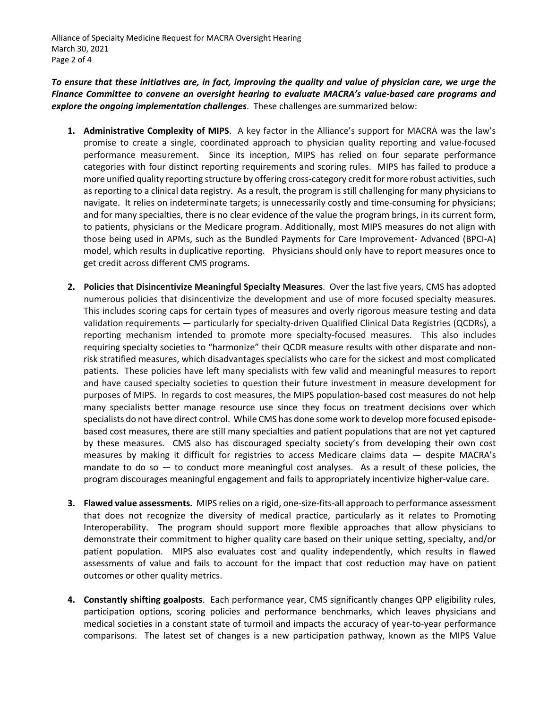Alliance of Specialty Medicine Request for MACRA Oversight Hearing March 30, 2021 Page 2 of 4

*To ensure that these initiatives are, in fact, improving the quality and value of physician care, we urge the Finance Committee to convene an oversight hearing to evaluate MACRA's value-based care programs and explore the ongoing implementation challenges*. These challenges are summarized below:

- **1. Administrative Complexity of MIPS**. A key factor in the Alliance's support for MACRA was the law's promise to create a single, coordinated approach to physician quality reporting and value-focused performance measurement. Since its inception, MIPS has relied on four separate performance categories with four distinct reporting requirements and scoring rules. MIPS has failed to produce a more unified quality reporting structure by offering cross-category credit for more robust activities, such as reporting to a clinical data registry. As a result, the program is still challenging for many physicians to navigate. It relies on indeterminate targets; is unnecessarily costly and time-consuming for physicians; and for many specialties, there is no clear evidence of the value the program brings, in its current form, to patients, physicians or the Medicare program. Additionally, most MIPS measures do not align with those being used in APMs, such as the Bundled Payments for Care Improvement- Advanced (BPCI-A) model, which results in duplicative reporting. Physicians should only have to report measures once to get credit across different CMS programs.
- **2. Policies that Disincentivize Meaningful Specialty Measures**. Over the last five years, CMS has adopted numerous policies that disincentivize the development and use of more focused specialty measures. This includes scoring caps for certain types of measures and overly rigorous measure testing and data validation requirements — particularly for specialty-driven Qualified Clinical Data Registries (QCDRs), a reporting mechanism intended to promote more specialty-focused measures. This also includes requiring specialty societies to "harmonize" their QCDR measure results with other disparate and nonrisk stratified measures, which disadvantages specialists who care for the sickest and most complicated patients. These policies have left many specialists with few valid and meaningful measures to report and have caused specialty societies to question their future investment in measure development for purposes of MIPS. In regards to cost measures, the MIPS population-based cost measures do not help many specialists better manage resource use since they focus on treatment decisions over which specialists do not have direct control. While CMS has done some work to develop more focused episodebased cost measures, there are still many specialties and patient populations that are not yet captured by these measures. CMS also has discouraged specialty society's from developing their own cost measures by making it difficult for registries to access Medicare claims data — despite MACRA's mandate to do so  $-$  to conduct more meaningful cost analyses. As a result of these policies, the program discourages meaningful engagement and fails to appropriately incentivize higher-value care.
- **3. Flawed value assessments.** MIPS relies on a rigid, one-size-fits-all approach to performance assessment that does not recognize the diversity of medical practice, particularly as it relates to Promoting Interoperability. The program should support more flexible approaches that allow physicians to demonstrate their commitment to higher quality care based on their unique setting, specialty, and/or patient population. MIPS also evaluates cost and quality independently, which results in flawed assessments of value and fails to account for the impact that cost reduction may have on patient outcomes or other quality metrics.
- **4. Constantly shifting goalposts**. Each performance year, CMS significantly changes QPP eligibility rules, participation options, scoring policies and performance benchmarks, which leaves physicians and medical societies in a constant state of turmoil and impacts the accuracy of year-to-year performance comparisons. The latest set of changes is a new participation pathway, known as the MIPS Value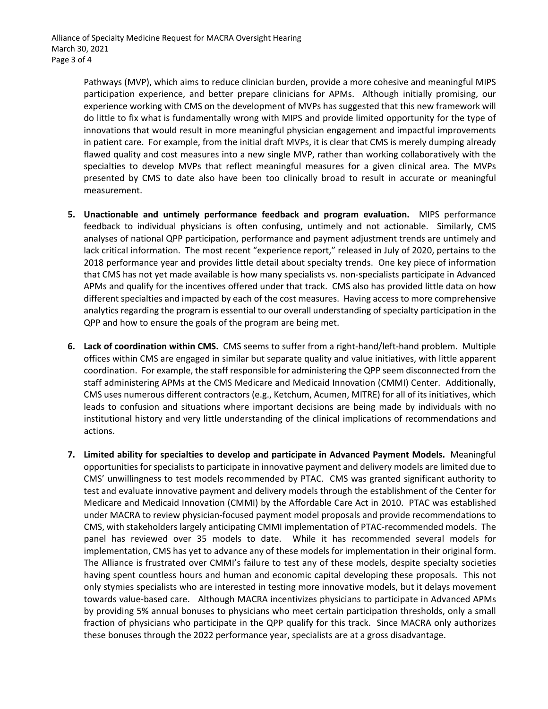Pathways (MVP), which aims to reduce clinician burden, provide a more cohesive and meaningful MIPS participation experience, and better prepare clinicians for APMs. Although initially promising, our experience working with CMS on the development of MVPs has suggested that this new framework will do little to fix what is fundamentally wrong with MIPS and provide limited opportunity for the type of innovations that would result in more meaningful physician engagement and impactful improvements in patient care. For example, from the initial draft MVPs, it is clear that CMS is merely dumping already flawed quality and cost measures into a new single MVP, rather than working collaboratively with the specialties to develop MVPs that reflect meaningful measures for a given clinical area. The MVPs presented by CMS to date also have been too clinically broad to result in accurate or meaningful measurement.

- **5. Unactionable and untimely performance feedback and program evaluation.** MIPS performance feedback to individual physicians is often confusing, untimely and not actionable. Similarly, CMS analyses of national QPP participation, performance and payment adjustment trends are untimely and lack critical information. The most recent "experience report," released in July of 2020, pertains to the 2018 performance year and provides little detail about specialty trends. One key piece of information that CMS has not yet made available is how many specialists vs. non-specialists participate in Advanced APMs and qualify for the incentives offered under that track. CMS also has provided little data on how different specialties and impacted by each of the cost measures. Having access to more comprehensive analytics regarding the program is essential to our overall understanding of specialty participation in the QPP and how to ensure the goals of the program are being met.
- **6. Lack of coordination within CMS.** CMS seems to suffer from a right-hand/left-hand problem. Multiple offices within CMS are engaged in similar but separate quality and value initiatives, with little apparent coordination. For example, the staff responsible for administering the QPP seem disconnected from the staff administering APMs at the CMS Medicare and Medicaid Innovation (CMMI) Center. Additionally, CMS uses numerous different contractors (e.g., Ketchum, Acumen, MITRE) for all of its initiatives, which leads to confusion and situations where important decisions are being made by individuals with no institutional history and very little understanding of the clinical implications of recommendations and actions.
- **7. Limited ability for specialties to develop and participate in Advanced Payment Models.** Meaningful opportunities for specialists to participate in innovative payment and delivery models are limited due to CMS' unwillingness to test models recommended by PTAC. CMS was granted significant authority to test and evaluate innovative payment and delivery models through the establishment of the Center for Medicare and Medicaid Innovation (CMMI) by the Affordable Care Act in 2010. PTAC was established under MACRA to review physician-focused payment model proposals and provide recommendations to CMS, with stakeholders largely anticipating CMMI implementation of PTAC-recommended models. The panel has reviewed over 35 models to date. While it has recommended several models for implementation, CMS has yet to advance any of these models for implementation in their original form. The Alliance is frustrated over CMMI's failure to test any of these models, despite specialty societies having spent countless hours and human and economic capital developing these proposals. This not only stymies specialists who are interested in testing more innovative models, but it delays movement towards value-based care. Although MACRA incentivizes physicians to participate in Advanced APMs by providing 5% annual bonuses to physicians who meet certain participation thresholds, only a small fraction of physicians who participate in the QPP qualify for this track. Since MACRA only authorizes these bonuses through the 2022 performance year, specialists are at a gross disadvantage.